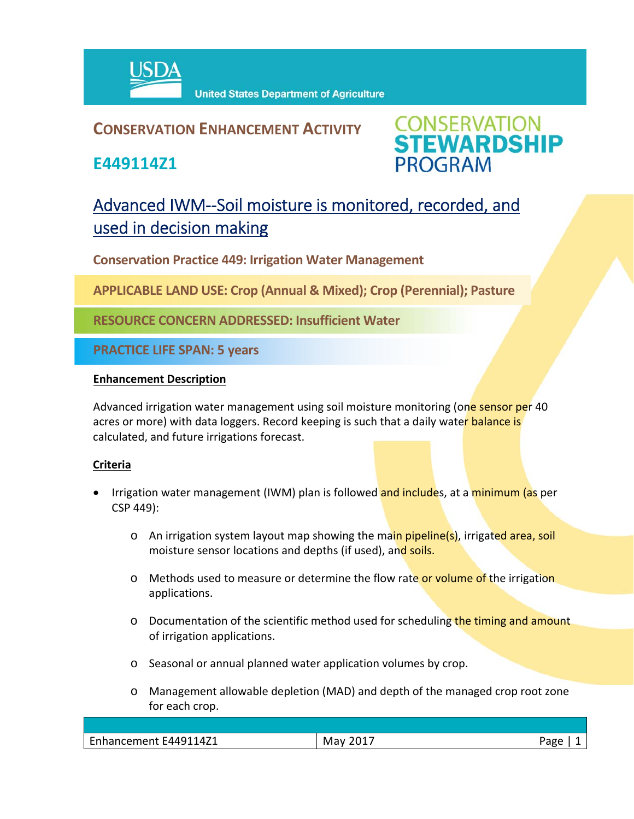

## **CONSERVATION ENHANCEMENT ACTIVITY**

**E449114Z1**



# Advanced IWM--Soil moisture is monitored, recorded, and used in decision making

**Conservation Practice 449: Irrigation Water Management** 

**APPLICABLE LAND USE: Crop (Annual & Mixed); Crop (Perennial); Pasture**

**RESOURCE CONCERN ADDRESSED: Insufficient Water**

**PRACTICE LIFE SPAN: 5 years**

#### **Enhancement Description**

Advanced irrigation water management using soil moisture monitoring (one sensor per 40 acres or more) with data loggers. Record keeping is such that a daily water balance is calculated, and future irrigations forecast.

### **Criteria**

- Irrigation water management (IWM) plan is followed and includes, at a minimum (as per CSP 449):
	- o An irrigation system layout map showing the main pipeline(s), irrigated area, soil moisture sensor locations and depths (if used), and soils.
	- o Methods used to measure or determine the flow rate or volume of the irrigation applications.
	- o Documentation of the scientific method used for scheduling the timing and amount of irrigation applications.
	- o Seasonal or annual planned water application volumes by crop.
	- o Management allowable depletion (MAD) and depth of the managed crop root zone for each crop.

| E449114Z1<br>$\overline{\phantom{a}}$<br>Enhancement | ⊤ר∩נ<br>May<br>$\sim$ $ \cdot$ | 'age |
|------------------------------------------------------|--------------------------------|------|